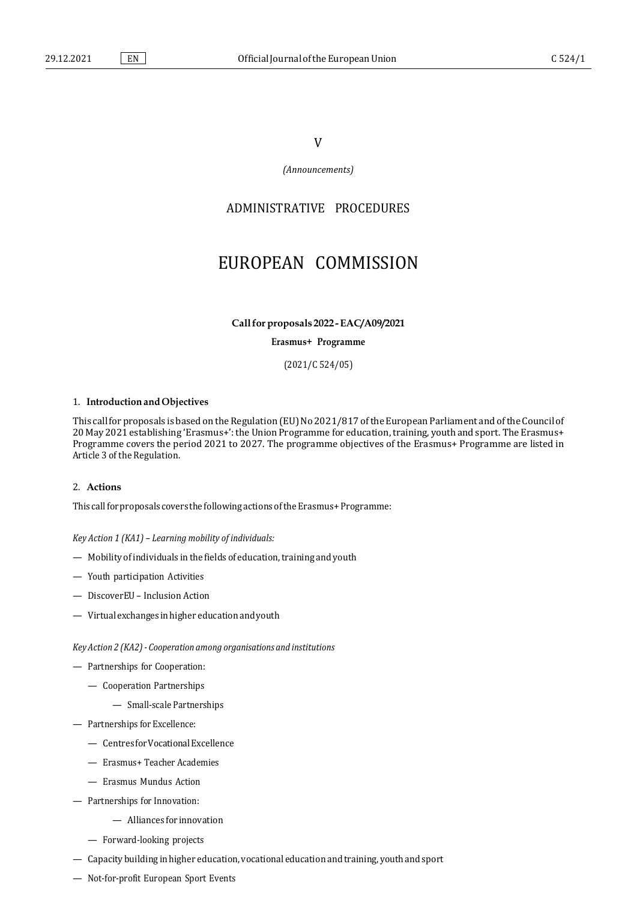### V

*(Announcements)*

## ADMINISTRATIVE PROCEDURES

# EUROPEAN COMMISSION

**Callfor proposals 2022 -EAC/A09/2021**

**Erasmus+ Programme**

(2021/C 524/05)

#### 1. **Introduction and Objectives**

This call for proposals is based on the Regulation (EU) No 2021/817 of the European Parliament and of the Council of 20 May 2021 establishing 'Erasmus+': the Union Programme for education,training, youth and sport. The Erasmus+ Programme covers the period 2021 to 2027. The programme objectives of the Erasmus+ Programme are listed in Article 3 of the Regulation.

#### 2. **Actions**

This call for proposals covers the following actions of the Erasmus+Programme:

*Key Action 1 (KA1) – Learning mobility of individuals:*

- $-$  Mobility of individuals in the fields of education, training and youth
- Youth participation Activities
- DiscoverEU Inclusion Action
- Virtualexchanges inhigher educationandyouth

*Key Action 2 (KA2)- Cooperation among organisations and institutions*

- Partnerships for Cooperation:
	- Cooperation Partnerships
		- Small-scale Partnerships
- Partnerships for Excellence:
	- CentresforVocationalExcellence
	- Erasmus+ Teacher Academies
	- Erasmus Mundus Action
- Partnerships for Innovation:
	- Alliances for innovation
	- Forward-looking projects
- $-$  Capacity building in higher education, vocational education and training, youth and sport
- Not-for-profit European Sport Events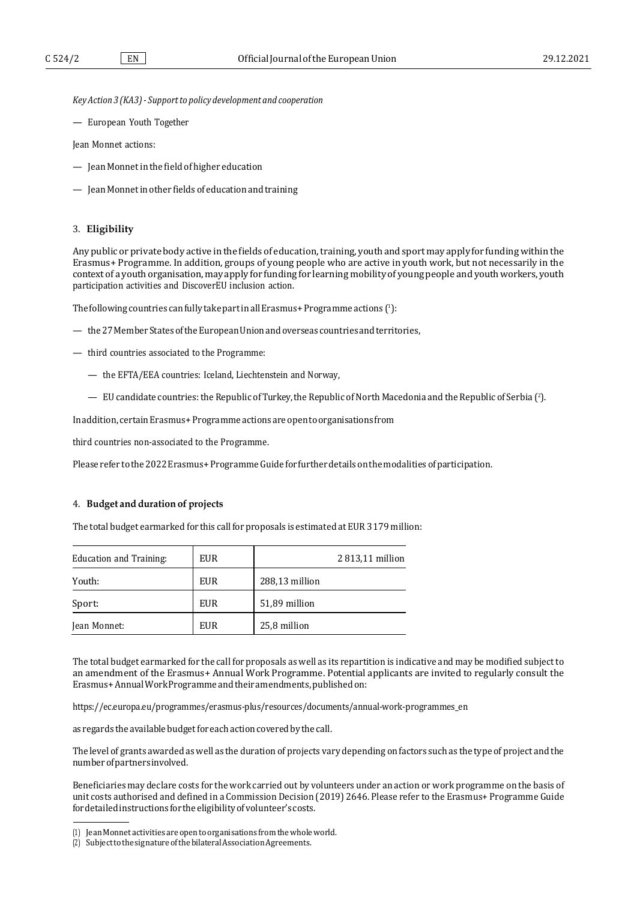*KeyAction 3 (KA3)- Supportto policy development and cooperation*

— European Youth Together

Jean Monnet actions:

- Jean Monnetin the field of higher education
- JeanMonnetin other fields of educationand training

#### 3. **Eligibility**

Any public or private body active in the fields of education, training, youth and sport may apply for funding within the Erasmus+ Programme. In addition, groups of young people who are active in youth work, but not necessarily in the context of a youth organisation, may apply for funding for learning mobility of young people and youth workers, youth participation activities and DiscoverEU inclusion action.

The following countries can fully take part in all Erasmus+Programme actions (1[\):](#page-1-0)

- $-$  the 27 Member States of the European Union and overseas countries and territories,
- third countries associated to the Programme:
	- the EFTA/EEA countries: Iceland, Liechtenstein and Norway,
	- $-$  EU candidate countries: the Republic of Turkey, the Republic of North Macedonia and the Republic of Serbia (?[\).](#page-1-1)

Inaddition, certainErasmus+Programme actionsare opentoorganisations from

third countries non-associated to the Programme.

Please refer to the 2022 Erasmus+Programme Guide for further details on the modalities of participation.

#### 4. **Budget and duration of projects**

The total budget earmarked for this call for proposals is estimated at EUR 3179 million:

| <b>Education and Training:</b> | EUR | 2813,11 million |
|--------------------------------|-----|-----------------|
| Youth:                         | EUR | 288,13 million  |
| Sport:                         | EUR | 51,89 million   |
| Jean Monnet:                   | EUR | 25,8 million    |

The total budget earmarked for the call for proposals as well as its repartition is indicative and may be modified subject to an amendment of the Erasmus+ Annual Work Programme. Potential applicants are invited to regularly consult the Erasmus+AnnualWorkProgrammeandtheiramendments,publishedon:

[https://ec.europa.eu/programmes/erasmus-plus/resources/documents/annual-work-programmes\\_en](https://ec.europa.eu/programmes/erasmus-plus/resources/documents/annual-work-programmes_en)

as regards the available budget for each action covered by the call.

The level of grants awarded as well as the duration of projects vary depending on factors such as the type of project and the numberofpartnersinvolved.

Beneficiaries may declare costs for the work carried out by volunteers under an action or work programme on the basis of unit costs authorised and defined in a Commission Decision (2019) 2646. Please refer to the Erasmus+ Programme Guide fordetailedinstructionsfortheeligibilityofvolunteer'scosts.

<span id="page-1-0"></span><sup>(1)</sup> JeanMonnetactivities areopentoorganisations fromthewholeworld.

<span id="page-1-1"></span><sup>(2)</sup> SubjecttothesignatureofthebilateralAssociationAgreements.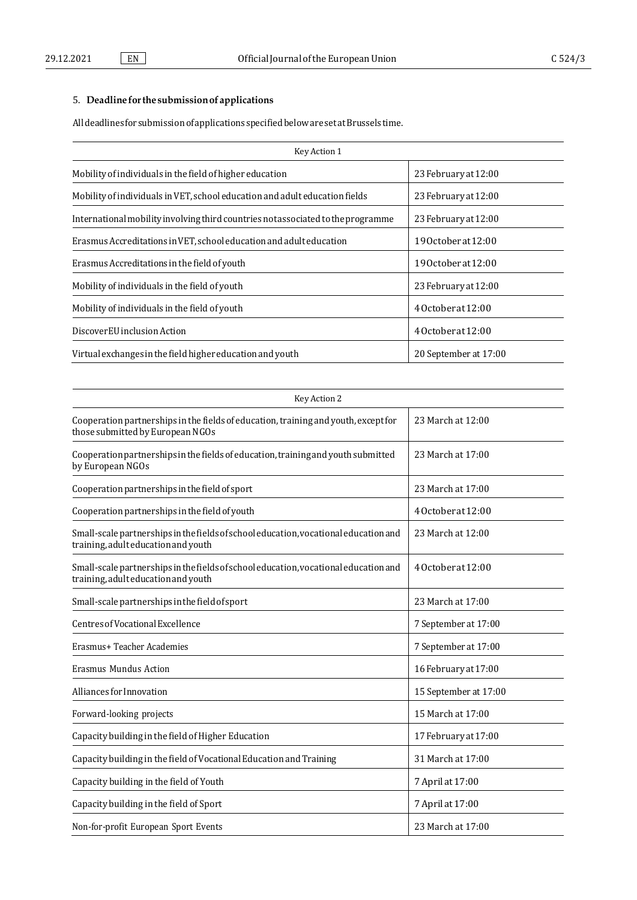## 5. **Deadline forthe submissionofapplications**

Alldeadlines forsubmissionofapplications specifiedbelowaresetatBrussels time.

| Key Action 1                                                                     |                       |  |
|----------------------------------------------------------------------------------|-----------------------|--|
| Mobility of individuals in the field of higher education                         | 23 February at 12:00  |  |
| Mobility of individuals in VET, school education and adult education fields      | 23 February at 12:00  |  |
| International mobility involving third countries not associated to the programme | 23 February at 12:00  |  |
| Erasmus Accreditations in VET, school education and adult education              | 190ctoberat12:00      |  |
| Erasmus Accreditations in the field of youth                                     | 190ctoberat12:00      |  |
| Mobility of individuals in the field of youth                                    | 23 February at 12:00  |  |
| Mobility of individuals in the field of youth                                    | 40ctoberat12:00       |  |
| DiscoverEU inclusion Action                                                      | 40ctoberat12:00       |  |
| Virtual exchanges in the field higher education and youth                        | 20 September at 17:00 |  |

| Key Action 2                                                                                                                |                       |  |
|-----------------------------------------------------------------------------------------------------------------------------|-----------------------|--|
| Cooperation partnerships in the fields of education, training and youth, except for<br>those submitted by European NGOs     | 23 March at 12:00     |  |
| Cooperation partnerships in the fields of education, training and youth submitted<br>by European NGOs                       | 23 March at 17:00     |  |
| Cooperation partnerships in the field of sport                                                                              | 23 March at 17:00     |  |
| Cooperation partnerships in the field of youth                                                                              | 40ctoberat12:00       |  |
| Small-scale partnerships in the fields of school education, vocational education and<br>training, adulteducation and youth  | 23 March at 12:00     |  |
| Small-scale partnerships in the fields of school education, vocational education and<br>training, adult education and youth | 40ctoberat12:00       |  |
| Small-scale partnerships in the field of sport                                                                              | 23 March at 17:00     |  |
| Centres of Vocational Excellence                                                                                            | 7 September at 17:00  |  |
| Erasmus+ Teacher Academies                                                                                                  | 7 September at 17:00  |  |
| Erasmus Mundus Action                                                                                                       | 16 February at 17:00  |  |
| Alliances for Innovation                                                                                                    | 15 September at 17:00 |  |
| Forward-looking projects                                                                                                    | 15 March at 17:00     |  |
| Capacity building in the field of Higher Education                                                                          | 17 February at 17:00  |  |
| Capacity building in the field of Vocational Education and Training                                                         | 31 March at 17:00     |  |
| Capacity building in the field of Youth                                                                                     | 7 April at 17:00      |  |
| Capacity building in the field of Sport                                                                                     | 7 April at 17:00      |  |
| Non-for-profit European Sport Events                                                                                        | 23 March at 17:00     |  |